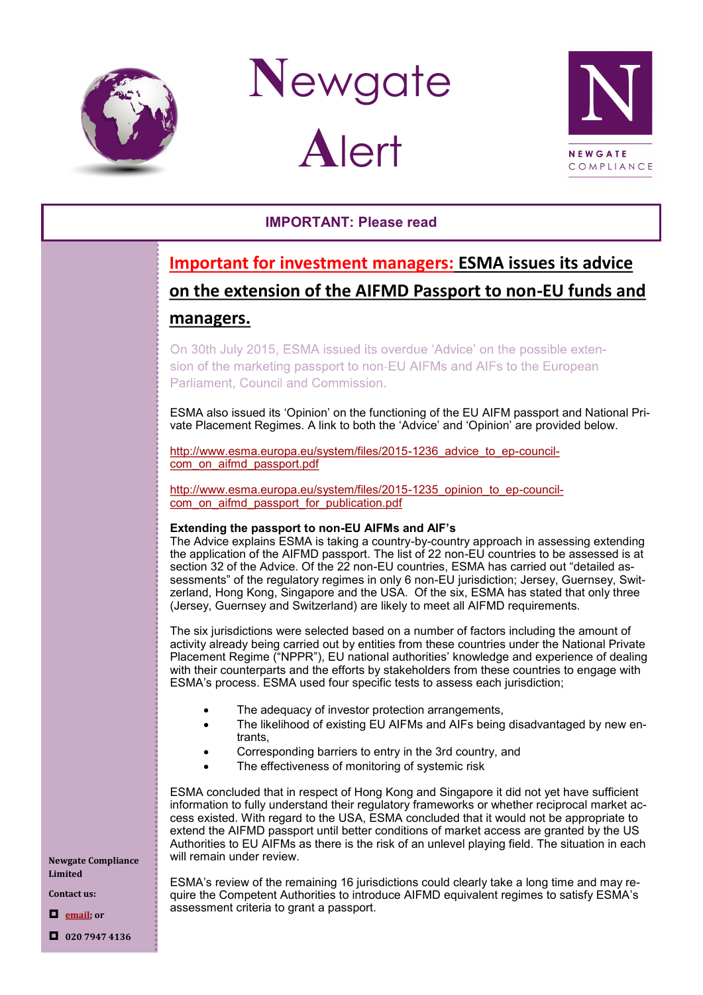

**N**ewgate **A**lert



## **IMPORTANT: Please read**

## **Important for investment managers: ESMA issues its advice on the extension of the AIFMD Passport to non-EU funds and managers.**

On 30th July 2015, ESMA issued its overdue 'Advice' on the possible extension of the marketing passport to non-EU AIFMs and AIFs to the European Parliament, Council and Commission.

ESMA also issued its 'Opinion' on the functioning of the EU AIFM passport and National Private Placement Regimes. A link to both the 'Advice' and 'Opinion' are provided below.

[http://www.esma.europa.eu/system/files/2015](http://www.esma.europa.eu/system/files/2015-1236_advice_to_ep-council-com_on_aifmd_passport.pdf)-1236 advice to ep-council[com\\_on\\_aifmd\\_passport.pdf](http://www.esma.europa.eu/system/files/2015-1236_advice_to_ep-council-com_on_aifmd_passport.pdf)

[http://www.esma.europa.eu/system/files/2015](http://www.esma.europa.eu/system/files/2015-1235_opinion_to_ep-council-com_on_aifmd_passport_for_publication.pdf)-1235 opinion to ep-council[com\\_on\\_aifmd\\_passport\\_for\\_publication.pdf](http://www.esma.europa.eu/system/files/2015-1235_opinion_to_ep-council-com_on_aifmd_passport_for_publication.pdf)

## **Extending the passport to non-EU AIFMs and AIF's**

The Advice explains ESMA is taking a country-by-country approach in assessing extending the application of the AIFMD passport. The list of 22 non-EU countries to be assessed is at section 32 of the Advice. Of the 22 non-EU countries, ESMA has carried out "detailed assessments" of the regulatory regimes in only 6 non-EU jurisdiction; Jersey, Guernsey, Switzerland, Hong Kong, Singapore and the USA. Of the six, ESMA has stated that only three (Jersey, Guernsey and Switzerland) are likely to meet all AIFMD requirements.

The six jurisdictions were selected based on a number of factors including the amount of activity already being carried out by entities from these countries under the National Private Placement Regime ("NPPR"), EU national authorities' knowledge and experience of dealing with their counterparts and the efforts by stakeholders from these countries to engage with ESMA's process. ESMA used four specific tests to assess each jurisdiction;

- The adequacy of investor protection arrangements,
- The likelihood of existing EU AIFMs and AIFs being disadvantaged by new entrants,
- Corresponding barriers to entry in the 3rd country, and
- The effectiveness of monitoring of systemic risk

ESMA concluded that in respect of Hong Kong and Singapore it did not yet have sufficient information to fully understand their regulatory frameworks or whether reciprocal market access existed. With regard to the USA, ESMA concluded that it would not be appropriate to extend the AIFMD passport until better conditions of market access are granted by the US Authorities to EU AIFMs as there is the risk of an unlevel playing field. The situation in each will remain under review.

ESMA's review of the remaining 16 jurisdictions could clearly take a long time and may require the Competent Authorities to introduce AIFMD equivalent regimes to satisfy ESMA's assessment criteria to grant a passport.

**Newgate Compliance Limited**

**Contact us:**

**[email;](mailto:info@newgatecompliance.com?subject=Email%20from%20Newgate%20News) or**

**020 7947 4136**